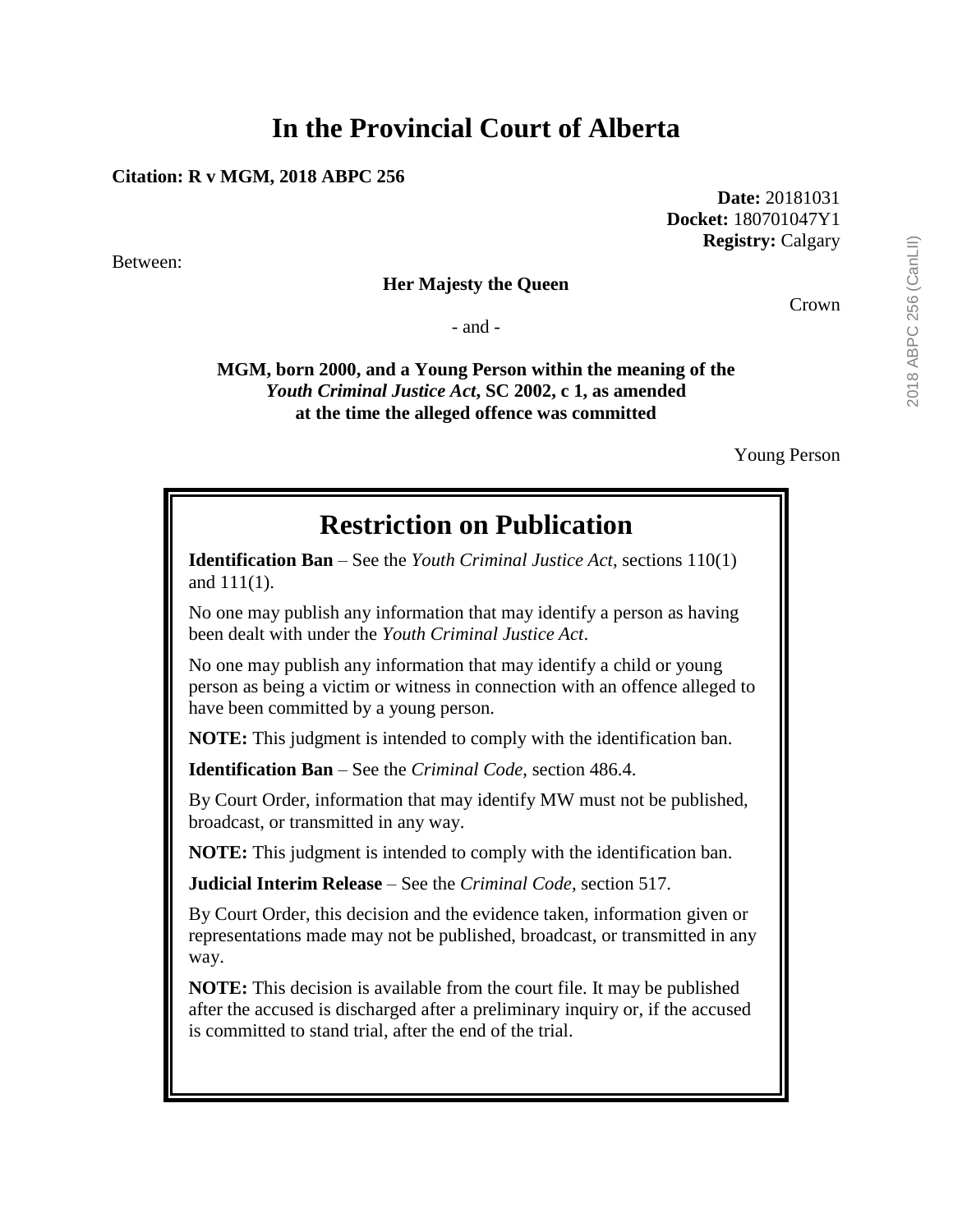# **In the Provincial Court of Alberta**

#### **Citation: R v MGM, 2018 ABPC 256**

Between:

### **Her Majesty the Queen**

- and -

**MGM, born 2000, and a Young Person within the meaning of the** *Youth Criminal Justice Act***, SC 2002, c 1, as amended at the time the alleged offence was committed**

Young Person

## **Restriction on Publication**

**Identification Ban** – See the *Youth Criminal Justice Act*, sections 110(1) and 111(1).

No one may publish any information that may identify a person as having been dealt with under the *Youth Criminal Justice Act*.

No one may publish any information that may identify a child or young person as being a victim or witness in connection with an offence alleged to have been committed by a young person.

**NOTE:** This judgment is intended to comply with the identification ban.

**Identification Ban** – See the *Criminal Code*, section 486.4.

By Court Order, information that may identify MW must not be published, broadcast, or transmitted in any way.

**NOTE:** This judgment is intended to comply with the identification ban.

**Judicial Interim Release** – See the *Criminal Code*, section 517.

By Court Order, this decision and the evidence taken, information given or representations made may not be published, broadcast, or transmitted in any way.

**NOTE:** This decision is available from the court file. It may be published after the accused is discharged after a preliminary inquiry or, if the accused is committed to stand trial, after the end of the trial.

**Date:** 20181031 **Docket:** 180701047Y1 **Registry:** Calgary

Crown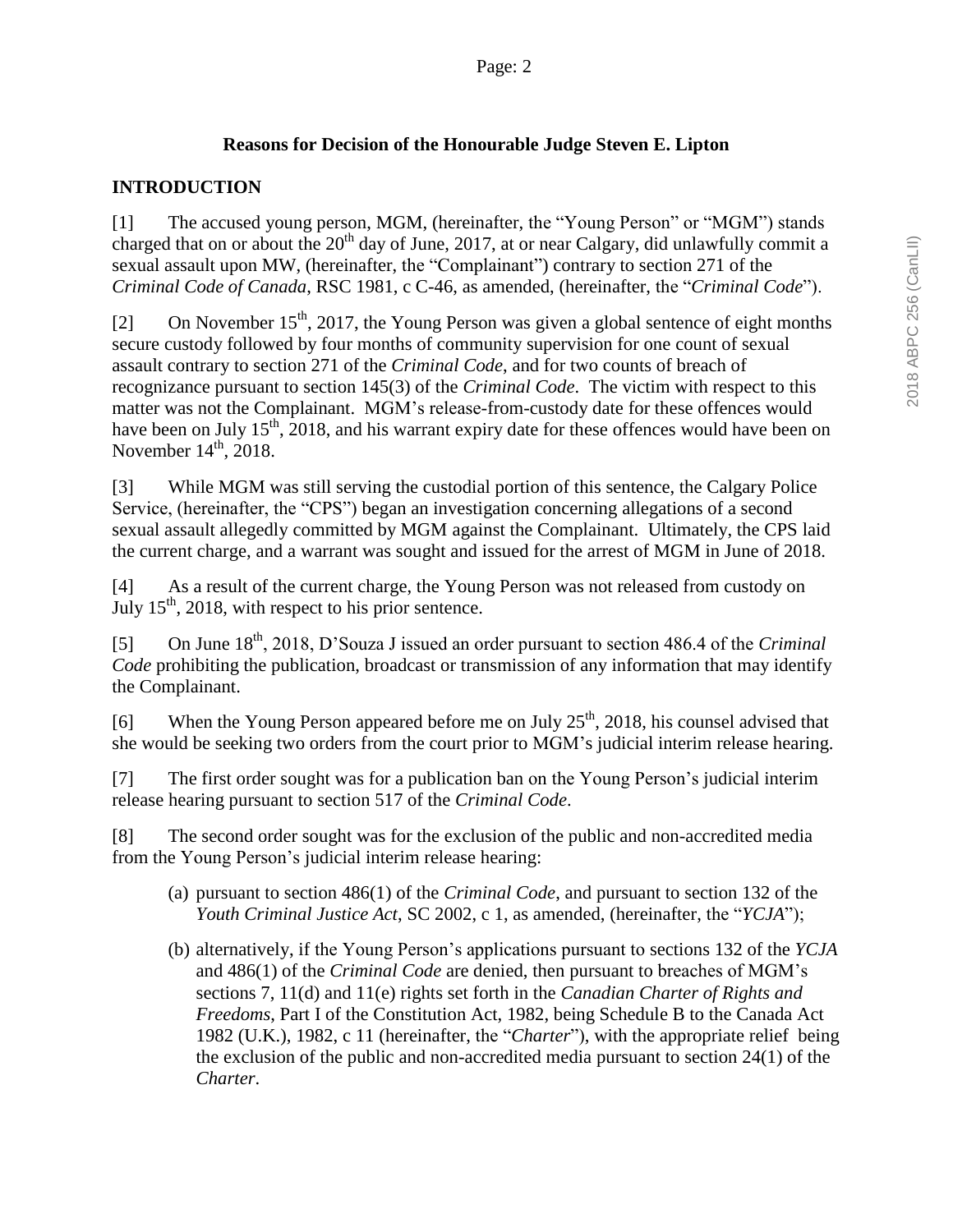## **Reasons for Decision of the Honourable Judge Steven E. Lipton**

## **INTRODUCTION**

[1] The accused young person, MGM, (hereinafter, the "Young Person" or "MGM") stands charged that on or about the  $20<sup>th</sup>$  day of June, 2017, at or near Calgary, did unlawfully commit a sexual assault upon MW, (hereinafter, the "Complainant") contrary to section 271 of the *Criminal Code of Canada*, RSC 1981, c C-46, as amended, (hereinafter, the "*Criminal Code*").

[2] On November 15<sup>th</sup>, 2017, the Young Person was given a global sentence of eight months secure custody followed by four months of community supervision for one count of sexual assault contrary to section 271 of the *Criminal Code*, and for two counts of breach of recognizance pursuant to section 145(3) of the *Criminal Code*. The victim with respect to this matter was not the Complainant. MGM's release-from-custody date for these offences would have been on July 15<sup>th</sup>, 2018, and his warrant expiry date for these offences would have been on November  $14<sup>th</sup>$ , 2018.

[3] While MGM was still serving the custodial portion of this sentence, the Calgary Police Service, (hereinafter, the "CPS") began an investigation concerning allegations of a second sexual assault allegedly committed by MGM against the Complainant. Ultimately, the CPS laid the current charge, and a warrant was sought and issued for the arrest of MGM in June of 2018.

[4] As a result of the current charge, the Young Person was not released from custody on July  $15<sup>th</sup>$ , 2018, with respect to his prior sentence.

[5] On June 18th, 2018, D'Souza J issued an order pursuant to section 486.4 of the *Criminal Code* prohibiting the publication, broadcast or transmission of any information that may identify the Complainant.

[6] When the Young Person appeared before me on July  $25<sup>th</sup>$ , 2018, his counsel advised that she would be seeking two orders from the court prior to MGM's judicial interim release hearing.

[7] The first order sought was for a publication ban on the Young Person's judicial interim release hearing pursuant to section 517 of the *Criminal Code*.

[8] The second order sought was for the exclusion of the public and non-accredited media from the Young Person's judicial interim release hearing:

- (a) pursuant to section 486(1) of the *Criminal Code*, and pursuant to section 132 of the *Youth Criminal Justice Act*, SC 2002, c 1, as amended, (hereinafter, the "*YCJA*");
- (b) alternatively, if the Young Person's applications pursuant to sections 132 of the *YCJA* and 486(1) of the *Criminal Code* are denied, then pursuant to breaches of MGM's sections 7, 11(d) and 11(e) rights set forth in the *Canadian Charter of Rights and Freedoms*, Part I of the Constitution Act, 1982, being Schedule B to the Canada Act 1982 (U.K.), 1982, c 11 (hereinafter, the "*Charter*"), with the appropriate relief being the exclusion of the public and non-accredited media pursuant to section 24(1) of the *Charter*.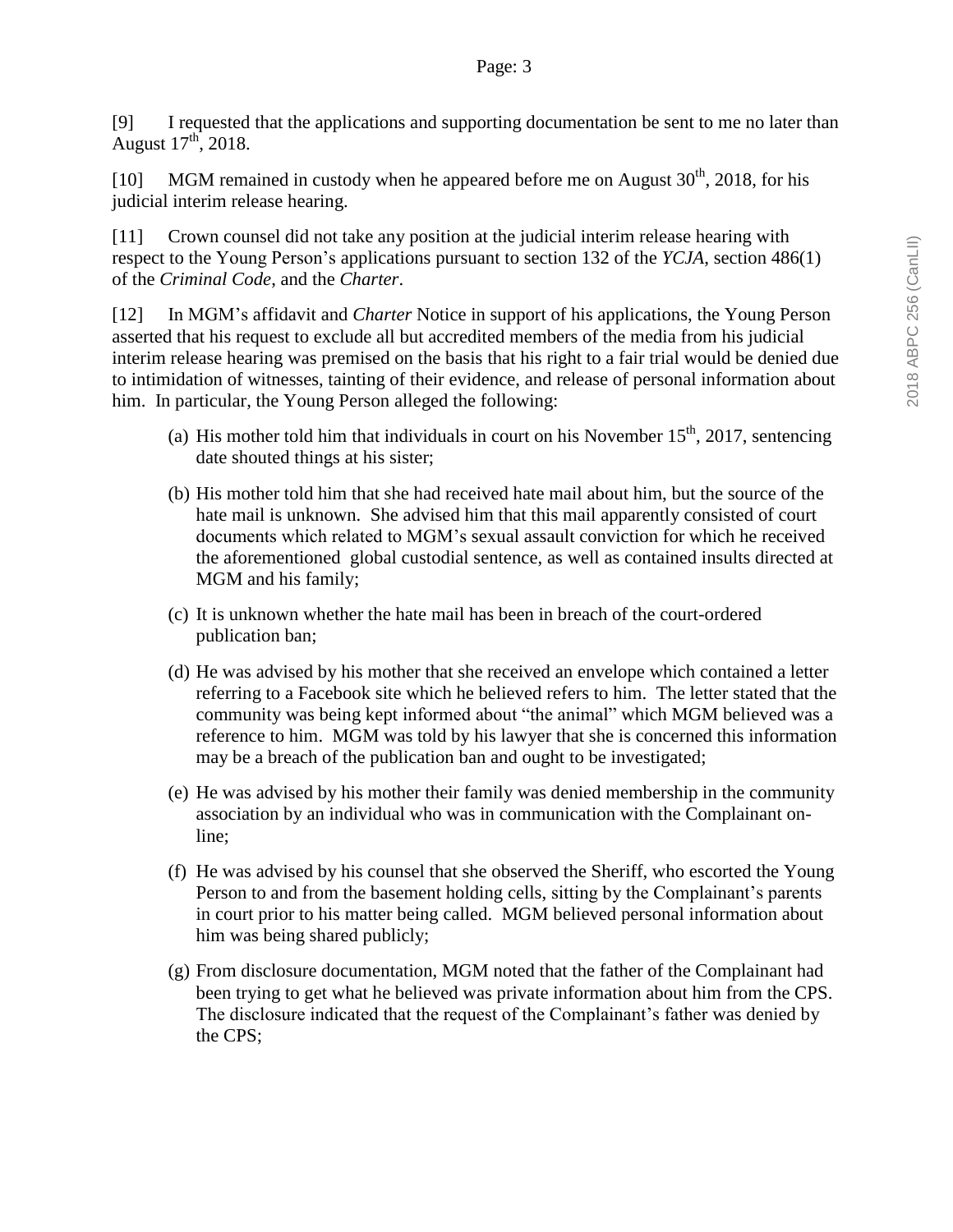[9] I requested that the applications and supporting documentation be sent to me no later than August  $17<sup>th</sup>$ , 2018.

[10] MGM remained in custody when he appeared before me on August  $30<sup>th</sup>$ , 2018, for his judicial interim release hearing.

[11] Crown counsel did not take any position at the judicial interim release hearing with respect to the Young Person's applications pursuant to section 132 of the *YCJA*, section 486(1) of the *Criminal Code*, and the *Charter*.

[12] In MGM's affidavit and *Charter* Notice in support of his applications, the Young Person asserted that his request to exclude all but accredited members of the media from his judicial interim release hearing was premised on the basis that his right to a fair trial would be denied due to intimidation of witnesses, tainting of their evidence, and release of personal information about him. In particular, the Young Person alleged the following:

- (a) His mother told him that individuals in court on his November  $15<sup>th</sup>$ , 2017, sentencing date shouted things at his sister;
- (b) His mother told him that she had received hate mail about him, but the source of the hate mail is unknown. She advised him that this mail apparently consisted of court documents which related to MGM's sexual assault conviction for which he received the aforementioned global custodial sentence, as well as contained insults directed at MGM and his family;
- (c) It is unknown whether the hate mail has been in breach of the court-ordered publication ban;
- (d) He was advised by his mother that she received an envelope which contained a letter referring to a Facebook site which he believed refers to him. The letter stated that the community was being kept informed about "the animal" which MGM believed was a reference to him. MGM was told by his lawyer that she is concerned this information may be a breach of the publication ban and ought to be investigated;
- (e) He was advised by his mother their family was denied membership in the community association by an individual who was in communication with the Complainant online;
- (f) He was advised by his counsel that she observed the Sheriff, who escorted the Young Person to and from the basement holding cells, sitting by the Complainant's parents in court prior to his matter being called. MGM believed personal information about him was being shared publicly;
- (g) From disclosure documentation, MGM noted that the father of the Complainant had been trying to get what he believed was private information about him from the CPS. The disclosure indicated that the request of the Complainant's father was denied by the CPS;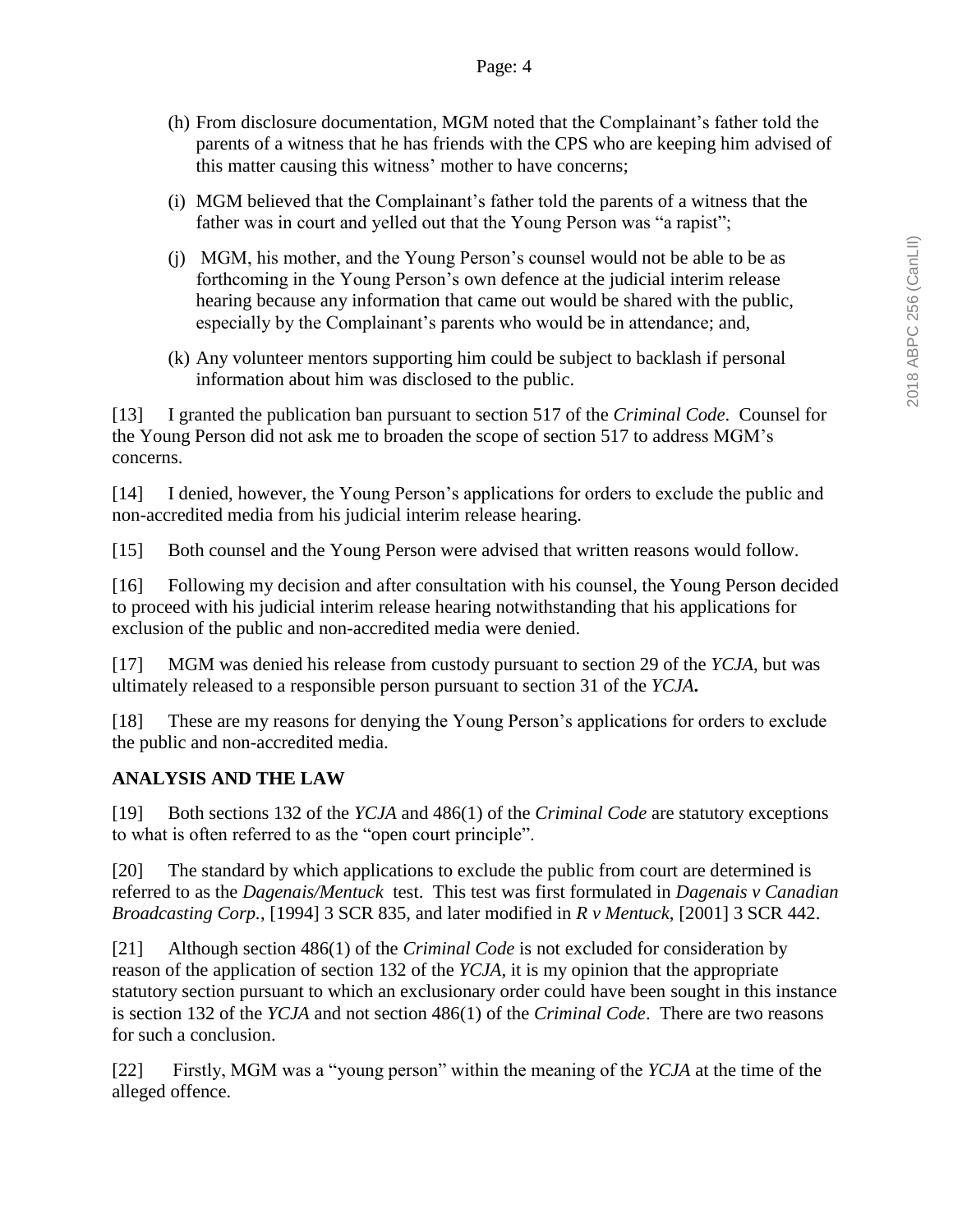- (h) From disclosure documentation, MGM noted that the Complainant's father told the parents of a witness that he has friends with the CPS who are keeping him advised of this matter causing this witness' mother to have concerns;
- (i) MGM believed that the Complainant's father told the parents of a witness that the father was in court and yelled out that the Young Person was "a rapist";
- (j) MGM, his mother, and the Young Person's counsel would not be able to be as forthcoming in the Young Person's own defence at the judicial interim release hearing because any information that came out would be shared with the public, especially by the Complainant's parents who would be in attendance; and,
- (k) Any volunteer mentors supporting him could be subject to backlash if personal information about him was disclosed to the public.

[13] I granted the publication ban pursuant to section 517 of the *Criminal Code*. Counsel for the Young Person did not ask me to broaden the scope of section 517 to address MGM's concerns.

[14] I denied, however, the Young Person's applications for orders to exclude the public and non-accredited media from his judicial interim release hearing.

[15] Both counsel and the Young Person were advised that written reasons would follow.

[16] Following my decision and after consultation with his counsel, the Young Person decided to proceed with his judicial interim release hearing notwithstanding that his applications for exclusion of the public and non-accredited media were denied.

[17] MGM was denied his release from custody pursuant to section 29 of the *YCJA*, but was ultimately released to a responsible person pursuant to section 31 of the *YCJA***.**

[18] These are my reasons for denying the Young Person's applications for orders to exclude the public and non-accredited media.

## **ANALYSIS AND THE LAW**

[19] Both sections 132 of the *YCJA* and 486(1) of the *Criminal Code* are statutory exceptions to what is often referred to as the "open court principle".

[20] The standard by which applications to exclude the public from court are determined is referred to as the *Dagenais/Mentuck* test. This test was first formulated in *Dagenais v Canadian Broadcasting Corp.*, [1994] 3 SCR 835, and later modified in *R v Mentuck*, [2001] 3 SCR 442.

[21] Although section 486(1) of the *Criminal Code* is not excluded for consideration by reason of the application of section 132 of the *YCJA*, it is my opinion that the appropriate statutory section pursuant to which an exclusionary order could have been sought in this instance is section 132 of the *YCJA* and not section 486(1) of the *Criminal Code*. There are two reasons for such a conclusion.

[22] Firstly, MGM was a "young person" within the meaning of the *YCJA* at the time of the alleged offence.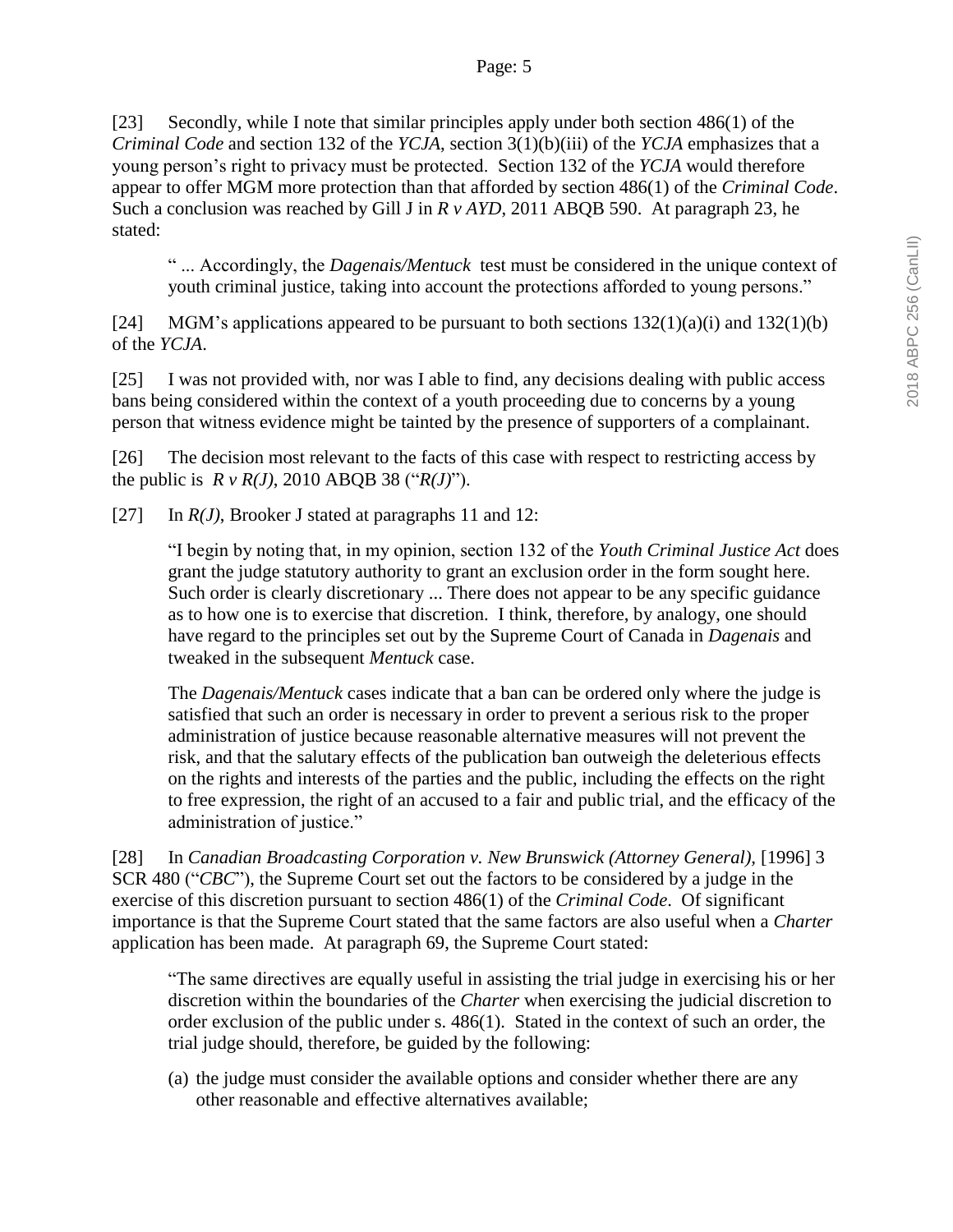[23] Secondly, while I note that similar principles apply under both section 486(1) of the *Criminal Code* and section 132 of the *YCJA*, section 3(1)(b)(iii) of the *YCJA* emphasizes that a young person's right to privacy must be protected. Section 132 of the *YCJA* would therefore appear to offer MGM more protection than that afforded by section 486(1) of the *Criminal Code*. Such a conclusion was reached by Gill J in *R v AYD*, 2011 ABQB 590. At paragraph 23, he stated:

" ... Accordingly, the *Dagenais/Mentuck* test must be considered in the unique context of youth criminal justice, taking into account the protections afforded to young persons."

[24] MGM's applications appeared to be pursuant to both sections  $132(1)(a)(i)$  and  $132(1)(b)$ of the *YCJA*.

[25] I was not provided with, nor was I able to find, any decisions dealing with public access bans being considered within the context of a youth proceeding due to concerns by a young person that witness evidence might be tainted by the presence of supporters of a complainant.

[26] The decision most relevant to the facts of this case with respect to restricting access by the public is *R v R(J)*, 2010 ABQB 38 ("*R(J)*").

[27] In *R(J)*, Brooker J stated at paragraphs 11 and 12:

"I begin by noting that, in my opinion, section 132 of the *Youth Criminal Justice Act* does grant the judge statutory authority to grant an exclusion order in the form sought here. Such order is clearly discretionary ... There does not appear to be any specific guidance as to how one is to exercise that discretion. I think, therefore, by analogy, one should have regard to the principles set out by the Supreme Court of Canada in *Dagenais* and tweaked in the subsequent *Mentuck* case.

The *Dagenais/Mentuck* cases indicate that a ban can be ordered only where the judge is satisfied that such an order is necessary in order to prevent a serious risk to the proper administration of justice because reasonable alternative measures will not prevent the risk, and that the salutary effects of the publication ban outweigh the deleterious effects on the rights and interests of the parties and the public, including the effects on the right to free expression, the right of an accused to a fair and public trial, and the efficacy of the administration of justice."

[28] In *Canadian Broadcasting Corporation v. New Brunswick (Attorney General),* [1996] 3 SCR 480 ("*CBC*"), the Supreme Court set out the factors to be considered by a judge in the exercise of this discretion pursuant to section 486(1) of the *Criminal Code*. Of significant importance is that the Supreme Court stated that the same factors are also useful when a *Charter* application has been made. At paragraph 69, the Supreme Court stated:

"The same directives are equally useful in assisting the trial judge in exercising his or her discretion within the boundaries of the *Charter* when exercising the judicial discretion to order exclusion of the public under s. 486(1). Stated in the context of such an order, the trial judge should, therefore, be guided by the following:

(a) the judge must consider the available options and consider whether there are any other reasonable and effective alternatives available;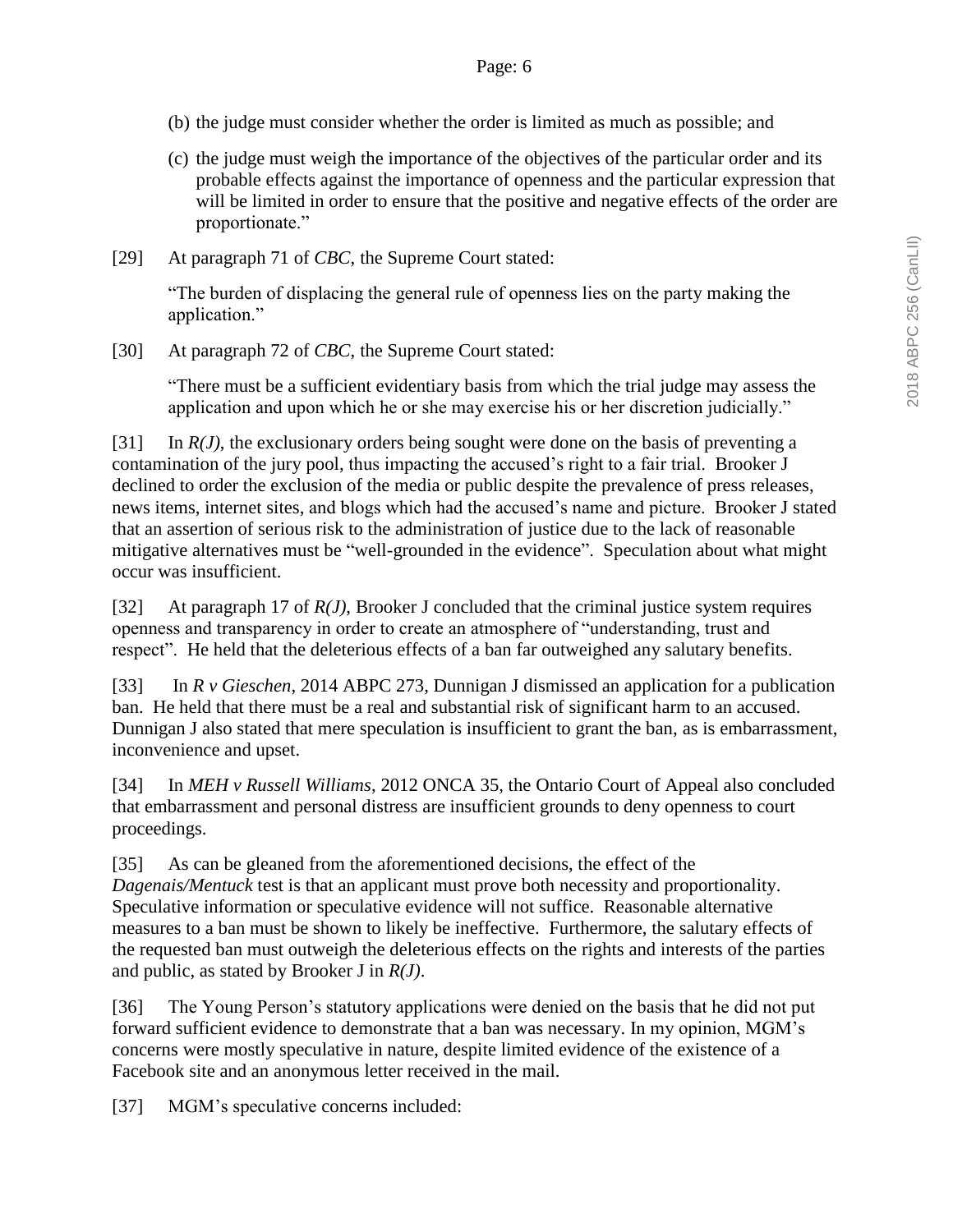- (b) the judge must consider whether the order is limited as much as possible; and
- (c) the judge must weigh the importance of the objectives of the particular order and its probable effects against the importance of openness and the particular expression that will be limited in order to ensure that the positive and negative effects of the order are proportionate."
- [29] At paragraph 71 of *CBC*, the Supreme Court stated:

"The burden of displacing the general rule of openness lies on the party making the application."

[30] At paragraph 72 of *CBC*, the Supreme Court stated:

"There must be a sufficient evidentiary basis from which the trial judge may assess the application and upon which he or she may exercise his or her discretion judicially."

[31] In *R(J)*, the exclusionary orders being sought were done on the basis of preventing a contamination of the jury pool, thus impacting the accused's right to a fair trial. Brooker J declined to order the exclusion of the media or public despite the prevalence of press releases, news items, internet sites, and blogs which had the accused's name and picture. Brooker J stated that an assertion of serious risk to the administration of justice due to the lack of reasonable mitigative alternatives must be "well-grounded in the evidence". Speculation about what might occur was insufficient.

[32] At paragraph 17 of *R(J)*, Brooker J concluded that the criminal justice system requires openness and transparency in order to create an atmosphere of "understanding, trust and respect". He held that the deleterious effects of a ban far outweighed any salutary benefits.

[33] In *R v Gieschen*, 2014 ABPC 273, Dunnigan J dismissed an application for a publication ban. He held that there must be a real and substantial risk of significant harm to an accused. Dunnigan J also stated that mere speculation is insufficient to grant the ban, as is embarrassment, inconvenience and upset.

[34] In *MEH v Russell Williams*, 2012 ONCA 35, the Ontario Court of Appeal also concluded that embarrassment and personal distress are insufficient grounds to deny openness to court proceedings.

[35] As can be gleaned from the aforementioned decisions, the effect of the *Dagenais/Mentuck* test is that an applicant must prove both necessity and proportionality. Speculative information or speculative evidence will not suffice. Reasonable alternative measures to a ban must be shown to likely be ineffective. Furthermore, the salutary effects of the requested ban must outweigh the deleterious effects on the rights and interests of the parties and public, as stated by Brooker J in *R(J)*.

[36] The Young Person's statutory applications were denied on the basis that he did not put forward sufficient evidence to demonstrate that a ban was necessary. In my opinion, MGM's concerns were mostly speculative in nature, despite limited evidence of the existence of a Facebook site and an anonymous letter received in the mail.

[37] MGM's speculative concerns included: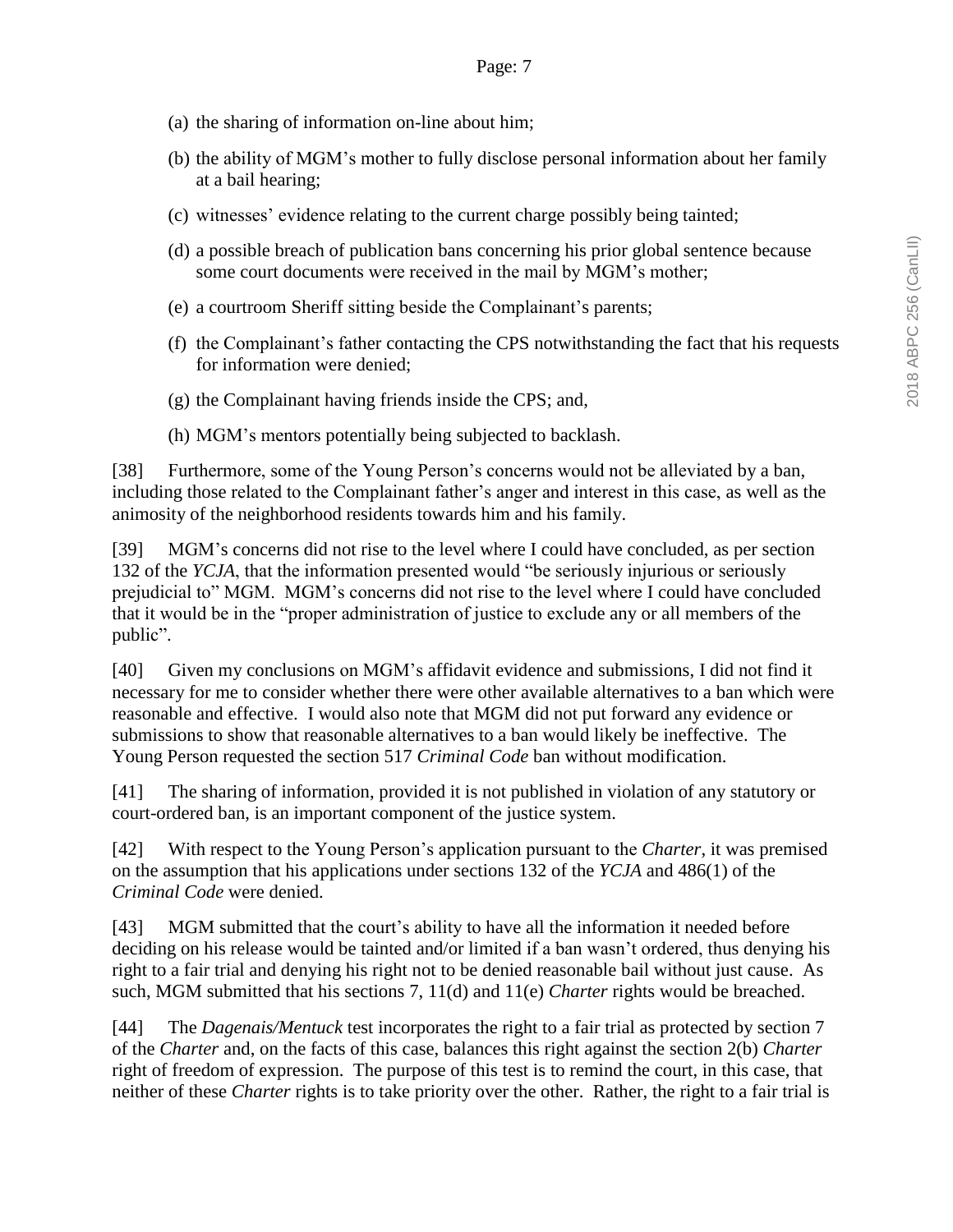- (a) the sharing of information on-line about him;
- (b) the ability of MGM's mother to fully disclose personal information about her family at a bail hearing;
- (c) witnesses' evidence relating to the current charge possibly being tainted;
- (d) a possible breach of publication bans concerning his prior global sentence because some court documents were received in the mail by MGM's mother;
- (e) a courtroom Sheriff sitting beside the Complainant's parents;
- (f) the Complainant's father contacting the CPS notwithstanding the fact that his requests for information were denied;
- (g) the Complainant having friends inside the CPS; and,
- (h) MGM's mentors potentially being subjected to backlash.

[38] Furthermore, some of the Young Person's concerns would not be alleviated by a ban, including those related to the Complainant father's anger and interest in this case, as well as the animosity of the neighborhood residents towards him and his family.

[39] MGM's concerns did not rise to the level where I could have concluded, as per section 132 of the *YCJA*, that the information presented would "be seriously injurious or seriously prejudicial to" MGM. MGM's concerns did not rise to the level where I could have concluded that it would be in the "proper administration of justice to exclude any or all members of the public".

[40] Given my conclusions on MGM's affidavit evidence and submissions, I did not find it necessary for me to consider whether there were other available alternatives to a ban which were reasonable and effective. I would also note that MGM did not put forward any evidence or submissions to show that reasonable alternatives to a ban would likely be ineffective. The Young Person requested the section 517 *Criminal Code* ban without modification.

[41] The sharing of information, provided it is not published in violation of any statutory or court-ordered ban, is an important component of the justice system.

[42] With respect to the Young Person's application pursuant to the *Charter*, it was premised on the assumption that his applications under sections 132 of the *YCJA* and 486(1) of the *Criminal Code* were denied.

[43] MGM submitted that the court's ability to have all the information it needed before deciding on his release would be tainted and/or limited if a ban wasn't ordered, thus denying his right to a fair trial and denying his right not to be denied reasonable bail without just cause. As such, MGM submitted that his sections 7, 11(d) and 11(e) *Charter* rights would be breached.

[44] The *Dagenais/Mentuck* test incorporates the right to a fair trial as protected by section 7 of the *Charter* and, on the facts of this case, balances this right against the section 2(b) *Charter* right of freedom of expression. The purpose of this test is to remind the court, in this case, that neither of these *Charter* rights is to take priority over the other. Rather, the right to a fair trial is